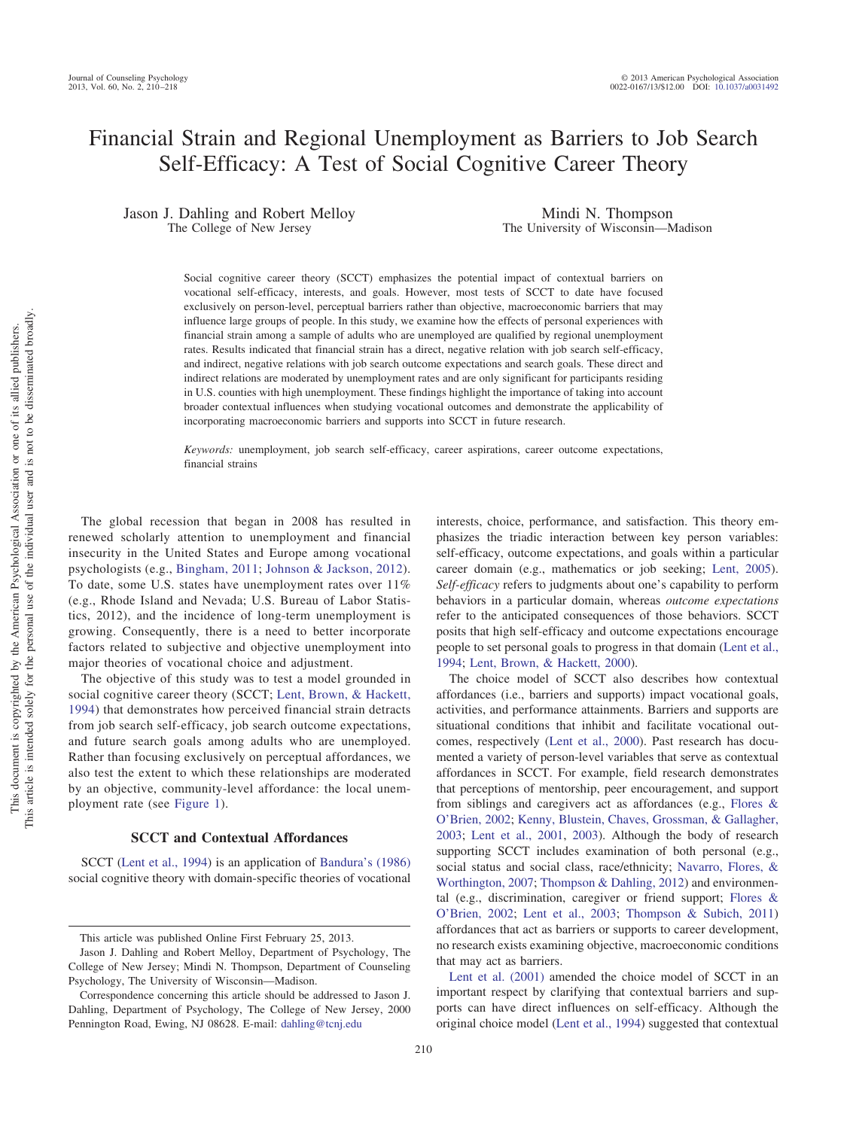# Financial Strain and Regional Unemployment as Barriers to Job Search Self-Efficacy: A Test of Social Cognitive Career Theory

Jason J. Dahling and Robert Melloy The College of New Jersey

Mindi N. Thompson The University of Wisconsin—Madison

Social cognitive career theory (SCCT) emphasizes the potential impact of contextual barriers on vocational self-efficacy, interests, and goals. However, most tests of SCCT to date have focused exclusively on person-level, perceptual barriers rather than objective, macroeconomic barriers that may influence large groups of people. In this study, we examine how the effects of personal experiences with financial strain among a sample of adults who are unemployed are qualified by regional unemployment rates. Results indicated that financial strain has a direct, negative relation with job search self-efficacy, and indirect, negative relations with job search outcome expectations and search goals. These direct and indirect relations are moderated by unemployment rates and are only significant for participants residing in U.S. counties with high unemployment. These findings highlight the importance of taking into account broader contextual influences when studying vocational outcomes and demonstrate the applicability of incorporating macroeconomic barriers and supports into SCCT in future research.

*Keywords:* unemployment, job search self-efficacy, career aspirations, career outcome expectations, financial strains

The global recession that began in 2008 has resulted in renewed scholarly attention to unemployment and financial insecurity in the United States and Europe among vocational psychologists (e.g., [Bingham, 2011;](#page-6-0) [Johnson & Jackson, 2012\)](#page-7-0). To date, some U.S. states have unemployment rates over 11% (e.g., Rhode Island and Nevada; U.S. Bureau of Labor Statistics, 2012), and the incidence of long-term unemployment is growing. Consequently, there is a need to better incorporate factors related to subjective and objective unemployment into major theories of vocational choice and adjustment.

The objective of this study was to test a model grounded in social cognitive career theory (SCCT; [Lent, Brown, & Hackett,](#page-7-1) [1994\)](#page-7-1) that demonstrates how perceived financial strain detracts from job search self-efficacy, job search outcome expectations, and future search goals among adults who are unemployed. Rather than focusing exclusively on perceptual affordances, we also test the extent to which these relationships are moderated by an objective, community-level affordance: the local unemployment rate (see [Figure 1\)](#page-1-0).

## **SCCT and Contextual Affordances**

SCCT [\(Lent et al., 1994\)](#page-7-1) is an application of [Bandura's \(1986\)](#page-6-1) social cognitive theory with domain-specific theories of vocational interests, choice, performance, and satisfaction. This theory emphasizes the triadic interaction between key person variables: self-efficacy, outcome expectations, and goals within a particular career domain (e.g., mathematics or job seeking; [Lent, 2005\)](#page-7-2). *Self-efficacy* refers to judgments about one's capability to perform behaviors in a particular domain, whereas *outcome expectations* refer to the anticipated consequences of those behaviors. SCCT posits that high self-efficacy and outcome expectations encourage people to set personal goals to progress in that domain [\(Lent et al.,](#page-7-1) [1994;](#page-7-1) [Lent, Brown, & Hackett, 2000\)](#page-7-3).

The choice model of SCCT also describes how contextual affordances (i.e., barriers and supports) impact vocational goals, activities, and performance attainments. Barriers and supports are situational conditions that inhibit and facilitate vocational outcomes, respectively [\(Lent et al., 2000\)](#page-7-3). Past research has documented a variety of person-level variables that serve as contextual affordances in SCCT. For example, field research demonstrates that perceptions of mentorship, peer encouragement, and support from siblings and caregivers act as affordances (e.g., [Flores &](#page-7-4) [O'Brien, 2002;](#page-7-4) [Kenny, Blustein, Chaves, Grossman, & Gallagher,](#page-7-5) [2003;](#page-7-5) [Lent et al., 2001,](#page-7-6) [2003\)](#page-7-7). Although the body of research supporting SCCT includes examination of both personal (e.g., social status and social class, race/ethnicity; [Navarro, Flores, &](#page-7-8) [Worthington, 2007;](#page-7-8) [Thompson & Dahling, 2012\)](#page-7-9) and environmental (e.g., discrimination, caregiver or friend support; [Flores &](#page-7-4) [O'Brien, 2002;](#page-7-4) [Lent et al., 2003;](#page-7-7) [Thompson & Subich, 2011\)](#page-7-10) affordances that act as barriers or supports to career development, no research exists examining objective, macroeconomic conditions that may act as barriers.

[Lent et al. \(2001\)](#page-7-6) amended the choice model of SCCT in an important respect by clarifying that contextual barriers and supports can have direct influences on self-efficacy. Although the original choice model [\(Lent et al., 1994\)](#page-7-1) suggested that contextual

This article was published Online First February 25, 2013.

Jason J. Dahling and Robert Melloy, Department of Psychology, The College of New Jersey; Mindi N. Thompson, Department of Counseling Psychology, The University of Wisconsin—Madison.

Correspondence concerning this article should be addressed to Jason J. Dahling, Department of Psychology, The College of New Jersey, 2000 Pennington Road, Ewing, NJ 08628. E-mail: [dahling@tcnj.edu](mailto:dahling@tcnj.edu)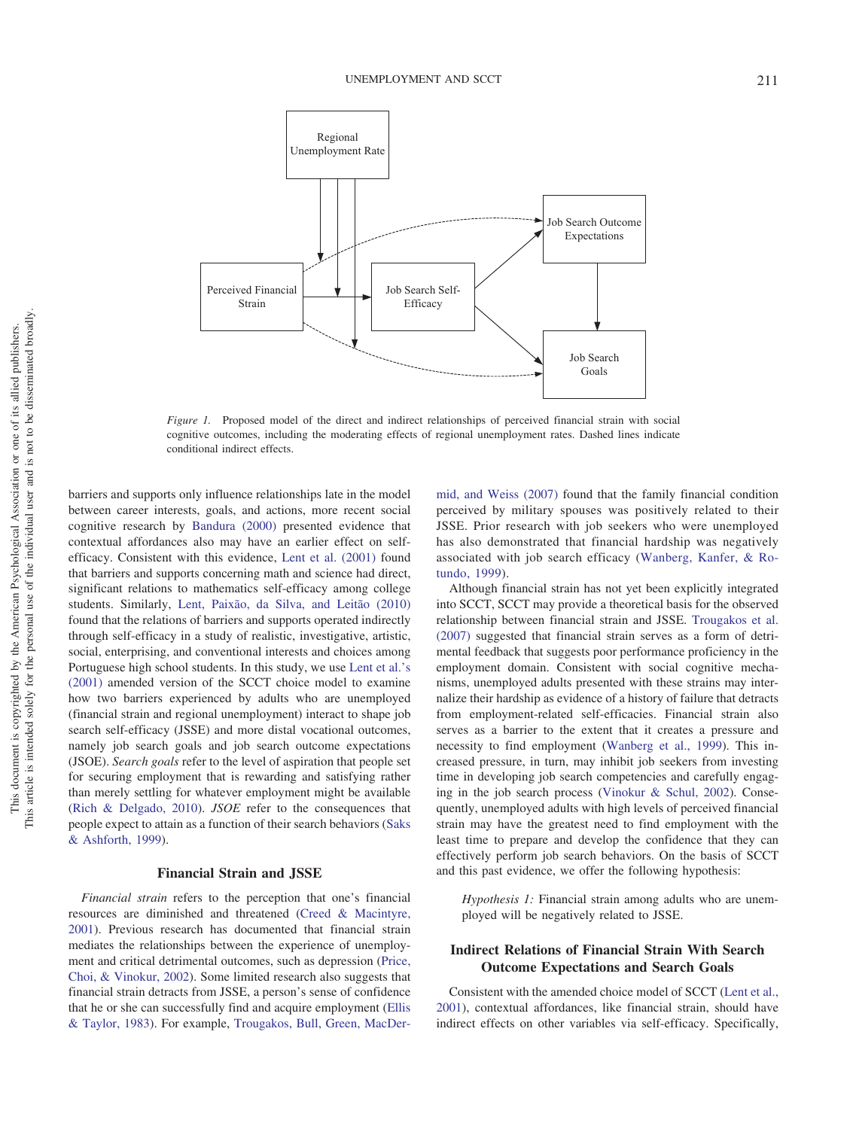

<span id="page-1-0"></span>*Figure 1.* Proposed model of the direct and indirect relationships of perceived financial strain with social cognitive outcomes, including the moderating effects of regional unemployment rates. Dashed lines indicate conditional indirect effects.

barriers and supports only influence relationships late in the model between career interests, goals, and actions, more recent social cognitive research by [Bandura \(2000\)](#page-6-2) presented evidence that contextual affordances also may have an earlier effect on selfefficacy. Consistent with this evidence, [Lent et al. \(2001\)](#page-7-6) found that barriers and supports concerning math and science had direct, significant relations to mathematics self-efficacy among college students. Similarly, [Lent, Paixão, da Silva, and Leitão \(2010\)](#page-7-11) found that the relations of barriers and supports operated indirectly through self-efficacy in a study of realistic, investigative, artistic, social, enterprising, and conventional interests and choices among Portuguese high school students. In this study, we use [Lent et al.'s](#page-7-6) [\(2001\)](#page-7-6) amended version of the SCCT choice model to examine how two barriers experienced by adults who are unemployed (financial strain and regional unemployment) interact to shape job search self-efficacy (JSSE) and more distal vocational outcomes, namely job search goals and job search outcome expectations (JSOE). *Search goals* refer to the level of aspiration that people set for securing employment that is rewarding and satisfying rather than merely settling for whatever employment might be available [\(Rich & Delgado, 2010\)](#page-7-12). *JSOE* refer to the consequences that people expect to attain as a function of their search behaviors [\(Saks](#page-7-13) [& Ashforth, 1999\)](#page-7-13).

## **Financial Strain and JSSE**

*Financial strain* refers to the perception that one's financial resources are diminished and threatened [\(Creed & Macintyre,](#page-7-14) [2001\)](#page-7-14). Previous research has documented that financial strain mediates the relationships between the experience of unemployment and critical detrimental outcomes, such as depression [\(Price,](#page-7-15) [Choi, & Vinokur, 2002\)](#page-7-15). Some limited research also suggests that financial strain detracts from JSSE, a person's sense of confidence that he or she can successfully find and acquire employment [\(Ellis](#page-7-16) [& Taylor, 1983\)](#page-7-16). For example, [Trougakos, Bull, Green, MacDer-](#page-7-17) [mid, and Weiss \(2007\)](#page-7-17) found that the family financial condition perceived by military spouses was positively related to their JSSE. Prior research with job seekers who were unemployed has also demonstrated that financial hardship was negatively associated with job search efficacy [\(Wanberg, Kanfer, & Ro](#page-8-0)[tundo, 1999\)](#page-8-0).

Although financial strain has not yet been explicitly integrated into SCCT, SCCT may provide a theoretical basis for the observed relationship between financial strain and JSSE. [Trougakos et al.](#page-7-17) [\(2007\)](#page-7-17) suggested that financial strain serves as a form of detrimental feedback that suggests poor performance proficiency in the employment domain. Consistent with social cognitive mechanisms, unemployed adults presented with these strains may internalize their hardship as evidence of a history of failure that detracts from employment-related self-efficacies. Financial strain also serves as a barrier to the extent that it creates a pressure and necessity to find employment [\(Wanberg et al., 1999\)](#page-8-0). This increased pressure, in turn, may inhibit job seekers from investing time in developing job search competencies and carefully engaging in the job search process [\(Vinokur & Schul, 2002\)](#page-8-1). Consequently, unemployed adults with high levels of perceived financial strain may have the greatest need to find employment with the least time to prepare and develop the confidence that they can effectively perform job search behaviors. On the basis of SCCT and this past evidence, we offer the following hypothesis:

*Hypothesis 1:* Financial strain among adults who are unemployed will be negatively related to JSSE.

## **Indirect Relations of Financial Strain With Search Outcome Expectations and Search Goals**

Consistent with the amended choice model of SCCT [\(Lent et al.,](#page-7-6) [2001\)](#page-7-6), contextual affordances, like financial strain, should have indirect effects on other variables via self-efficacy. Specifically,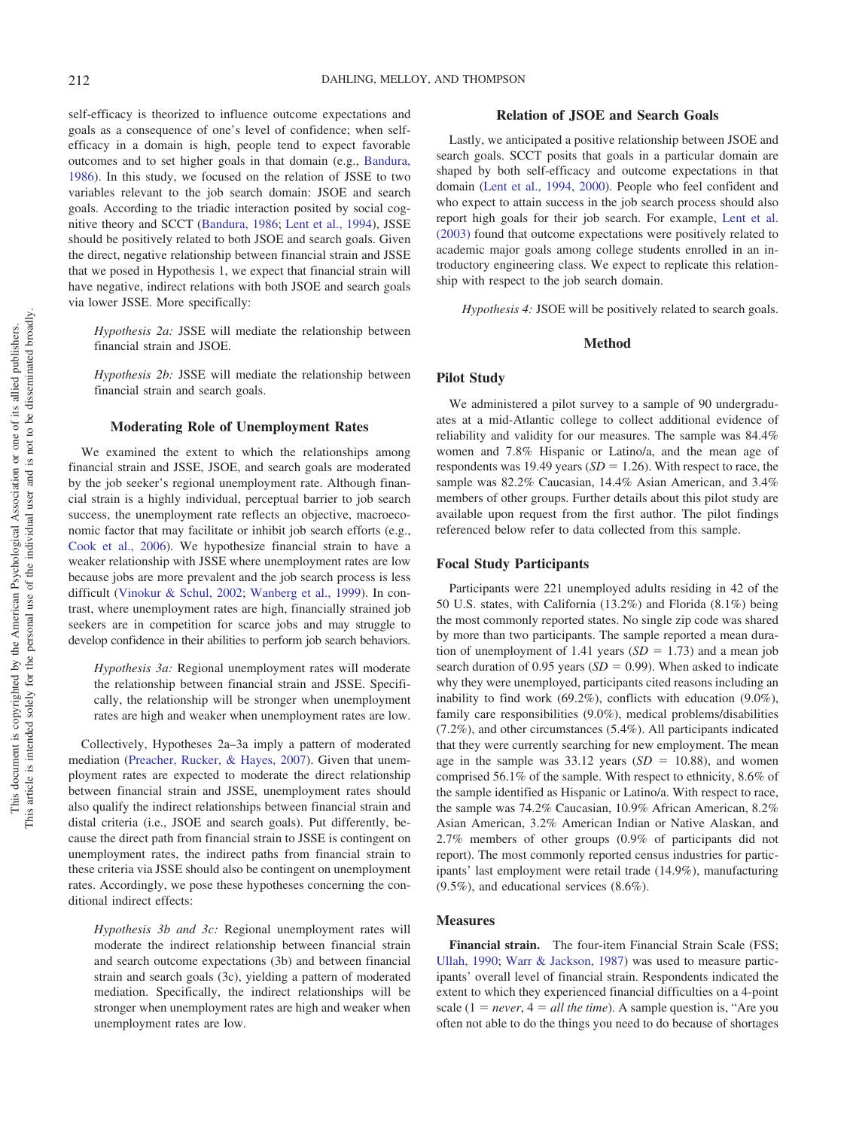self-efficacy is theorized to influence outcome expectations and goals as a consequence of one's level of confidence; when selfefficacy in a domain is high, people tend to expect favorable outcomes and to set higher goals in that domain (e.g., [Bandura,](#page-6-1) [1986\)](#page-6-1). In this study, we focused on the relation of JSSE to two variables relevant to the job search domain: JSOE and search goals. According to the triadic interaction posited by social cognitive theory and SCCT [\(Bandura, 1986;](#page-6-1) [Lent et al., 1994\)](#page-7-1), JSSE should be positively related to both JSOE and search goals. Given the direct, negative relationship between financial strain and JSSE that we posed in Hypothesis 1, we expect that financial strain will have negative, indirect relations with both JSOE and search goals via lower JSSE. More specifically:

*Hypothesis 2a:* JSSE will mediate the relationship between financial strain and JSOE.

*Hypothesis 2b:* JSSE will mediate the relationship between financial strain and search goals.

#### **Moderating Role of Unemployment Rates**

We examined the extent to which the relationships among financial strain and JSSE, JSOE, and search goals are moderated by the job seeker's regional unemployment rate. Although financial strain is a highly individual, perceptual barrier to job search success, the unemployment rate reflects an objective, macroeconomic factor that may facilitate or inhibit job search efforts (e.g., [Cook et al., 2006\)](#page-7-18). We hypothesize financial strain to have a weaker relationship with JSSE where unemployment rates are low because jobs are more prevalent and the job search process is less difficult [\(Vinokur & Schul, 2002;](#page-8-1) [Wanberg et al., 1999\)](#page-8-0). In contrast, where unemployment rates are high, financially strained job seekers are in competition for scarce jobs and may struggle to develop confidence in their abilities to perform job search behaviors.

*Hypothesis 3a:* Regional unemployment rates will moderate the relationship between financial strain and JSSE. Specifically, the relationship will be stronger when unemployment rates are high and weaker when unemployment rates are low.

Collectively, Hypotheses 2a–3a imply a pattern of moderated mediation [\(Preacher, Rucker, & Hayes, 2007\)](#page-7-19). Given that unemployment rates are expected to moderate the direct relationship between financial strain and JSSE, unemployment rates should also qualify the indirect relationships between financial strain and distal criteria (i.e., JSOE and search goals). Put differently, because the direct path from financial strain to JSSE is contingent on unemployment rates, the indirect paths from financial strain to these criteria via JSSE should also be contingent on unemployment rates. Accordingly, we pose these hypotheses concerning the conditional indirect effects:

*Hypothesis 3b and 3c:* Regional unemployment rates will moderate the indirect relationship between financial strain and search outcome expectations (3b) and between financial strain and search goals (3c), yielding a pattern of moderated mediation. Specifically, the indirect relationships will be stronger when unemployment rates are high and weaker when unemployment rates are low.

## **Relation of JSOE and Search Goals**

Lastly, we anticipated a positive relationship between JSOE and search goals. SCCT posits that goals in a particular domain are shaped by both self-efficacy and outcome expectations in that domain [\(Lent et al., 1994,](#page-7-1) [2000\)](#page-7-3). People who feel confident and who expect to attain success in the job search process should also report high goals for their job search. For example, [Lent et al.](#page-7-7) [\(2003\)](#page-7-7) found that outcome expectations were positively related to academic major goals among college students enrolled in an introductory engineering class. We expect to replicate this relationship with respect to the job search domain.

*Hypothesis 4:* JSOE will be positively related to search goals.

## **Method**

## **Pilot Study**

We administered a pilot survey to a sample of 90 undergraduates at a mid-Atlantic college to collect additional evidence of reliability and validity for our measures. The sample was 84.4% women and 7.8% Hispanic or Latino/a, and the mean age of respondents was 19.49 years  $(SD = 1.26)$ . With respect to race, the sample was 82.2% Caucasian, 14.4% Asian American, and 3.4% members of other groups. Further details about this pilot study are available upon request from the first author. The pilot findings referenced below refer to data collected from this sample.

## **Focal Study Participants**

Participants were 221 unemployed adults residing in 42 of the 50 U.S. states, with California (13.2%) and Florida (8.1%) being the most commonly reported states. No single zip code was shared by more than two participants. The sample reported a mean duration of unemployment of 1.41 years  $(SD = 1.73)$  and a mean job search duration of 0.95 years ( $SD = 0.99$ ). When asked to indicate why they were unemployed, participants cited reasons including an inability to find work (69.2%), conflicts with education (9.0%), family care responsibilities (9.0%), medical problems/disabilities (7.2%), and other circumstances (5.4%). All participants indicated that they were currently searching for new employment. The mean age in the sample was  $33.12$  years ( $SD = 10.88$ ), and women comprised 56.1% of the sample. With respect to ethnicity, 8.6% of the sample identified as Hispanic or Latino/a. With respect to race, the sample was 74.2% Caucasian, 10.9% African American, 8.2% Asian American, 3.2% American Indian or Native Alaskan, and 2.7% members of other groups (0.9% of participants did not report). The most commonly reported census industries for participants' last employment were retail trade (14.9%), manufacturing (9.5%), and educational services (8.6%).

#### **Measures**

**Financial strain.** The four-item Financial Strain Scale (FSS; [Ullah, 1990;](#page-7-20) [Warr & Jackson, 1987\)](#page-8-2) was used to measure participants' overall level of financial strain. Respondents indicated the extent to which they experienced financial difficulties on a 4-point scale  $(1 = never, 4 = all the time)$ . A sample question is, "Are you often not able to do the things you need to do because of shortages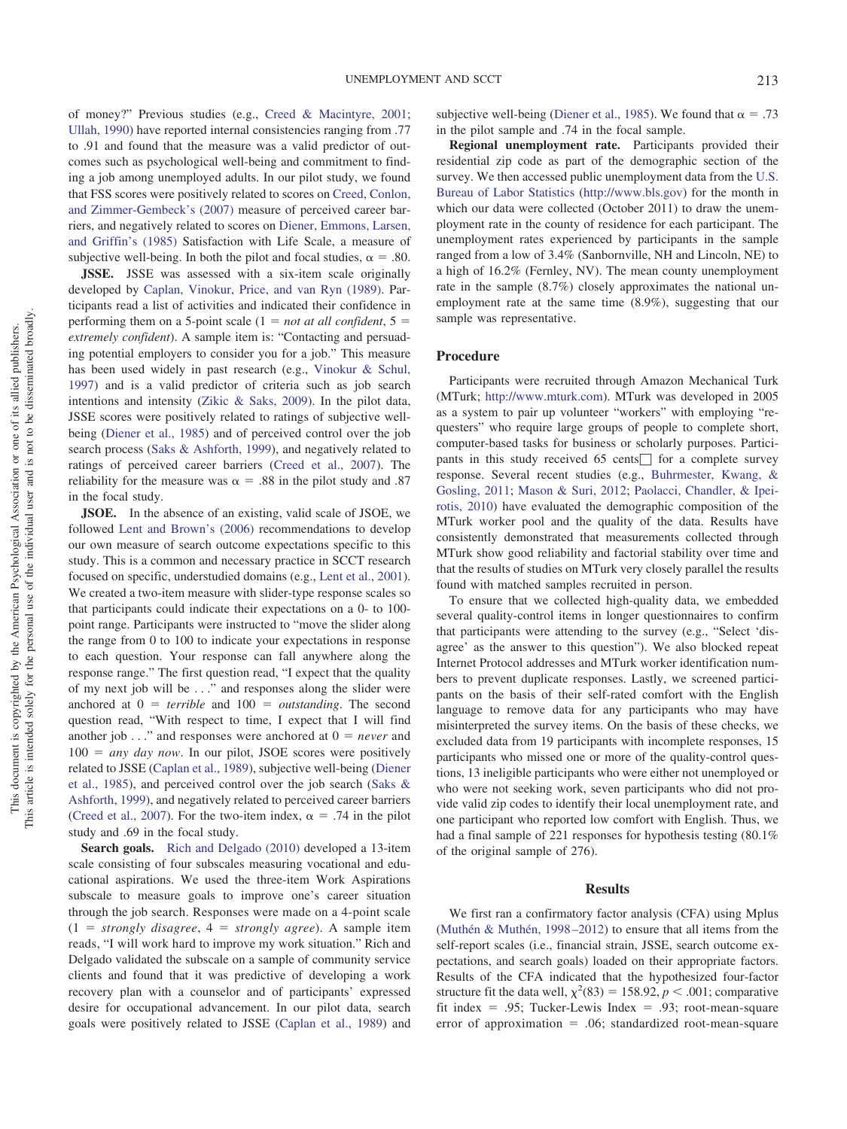of money?" Previous studies (e.g., [Creed & Macintyre, 2001;](#page-7-14) [Ullah, 1990\)](#page-7-20) have reported internal consistencies ranging from .77 to .91 and found that the measure was a valid predictor of outcomes such as psychological well-being and commitment to finding a job among unemployed adults. In our pilot study, we found that FSS scores were positively related to scores on [Creed, Conlon,](#page-7-21) [and Zimmer-Gembeck's \(2007\)](#page-7-21) measure of perceived career barriers, and negatively related to scores on [Diener, Emmons, Larsen,](#page-7-22) [and Griffin's \(1985\)](#page-7-22) Satisfaction with Life Scale, a measure of subjective well-being. In both the pilot and focal studies,  $\alpha = .80$ .

**JSSE.** JSSE was assessed with a six-item scale originally developed by [Caplan, Vinokur, Price, and van Ryn \(1989\).](#page-7-23) Participants read a list of activities and indicated their confidence in performing them on a 5-point scale  $(1 = not at all confident, 5 =$ *extremely confident*). A sample item is: "Contacting and persuading potential employers to consider you for a job." This measure has been used widely in past research (e.g., [Vinokur & Schul,](#page-8-3) [1997\)](#page-8-3) and is a valid predictor of criteria such as job search intentions and intensity [\(Zikic & Saks, 2009\)](#page-8-4). In the pilot data, JSSE scores were positively related to ratings of subjective wellbeing [\(Diener et al., 1985\)](#page-7-22) and of perceived control over the job search process [\(Saks & Ashforth, 1999\)](#page-7-13), and negatively related to ratings of perceived career barriers [\(Creed et al., 2007\)](#page-7-21). The reliability for the measure was  $\alpha = .88$  in the pilot study and .87 in the focal study.

**JSOE.** In the absence of an existing, valid scale of JSOE, we followed [Lent and Brown's \(2006\)](#page-7-24) recommendations to develop our own measure of search outcome expectations specific to this study. This is a common and necessary practice in SCCT research focused on specific, understudied domains (e.g., [Lent et al., 2001\)](#page-7-6). We created a two-item measure with slider-type response scales so that participants could indicate their expectations on a 0- to 100 point range. Participants were instructed to "move the slider along the range from 0 to 100 to indicate your expectations in response to each question. Your response can fall anywhere along the response range." The first question read, "I expect that the quality of my next job will be . . ." and responses along the slider were anchored at  $0 = terrible$  and  $100 = outstanding$ . The second question read, "With respect to time, I expect that I will find another job  $\ldots$ " and responses were anchored at  $0 = never$  and  $100 =$  *any day now*. In our pilot, JSOE scores were positively related to JSSE [\(Caplan et al., 1989\)](#page-7-23), subjective well-being [\(Diener](#page-7-22) [et al., 1985\)](#page-7-22), and perceived control over the job search [\(Saks &](#page-7-10) [Ashforth, 1999\)](#page-7-10), and negatively related to perceived career barriers [\(Creed et al., 2007\)](#page-7-21). For the two-item index,  $\alpha = .74$  in the pilot study and .69 in the focal study.

**Search goals.** [Rich and Delgado \(2010\)](#page-7-12) developed a 13-item scale consisting of four subscales measuring vocational and educational aspirations. We used the three-item Work Aspirations subscale to measure goals to improve one's career situation through the job search. Responses were made on a 4-point scale  $(1 = strongly disagree, 4 = strongly agree). A sample item$ reads, "I will work hard to improve my work situation." Rich and Delgado validated the subscale on a sample of community service clients and found that it was predictive of developing a work recovery plan with a counselor and of participants' expressed desire for occupational advancement. In our pilot data, search goals were positively related to JSSE [\(Caplan et al., 1989\)](#page-7-23) and

subjective well-being [\(Diener et al., 1985\)](#page-7-22). We found that  $\alpha = .73$ in the pilot sample and .74 in the focal sample.

**Regional unemployment rate.** Participants provided their residential zip code as part of the demographic section of the survey. We then accessed public unemployment data from the [U.S.](#page-7-25) [Bureau of Labor Statistics](#page-7-25) [\(http://www.bls.gov\)](http://www.bls.gov) for the month in which our data were collected (October 2011) to draw the unemployment rate in the county of residence for each participant. The unemployment rates experienced by participants in the sample ranged from a low of 3.4% (Sanbornville, NH and Lincoln, NE) to a high of 16.2% (Fernley, NV). The mean county unemployment rate in the sample (8.7%) closely approximates the national unemployment rate at the same time (8.9%), suggesting that our sample was representative.

## **Procedure**

Participants were recruited through Amazon Mechanical Turk (MTurk; [http://www.mturk.com\)](http://www.mturk.com). MTurk was developed in 2005 as a system to pair up volunteer "workers" with employing "requesters" who require large groups of people to complete short, computer-based tasks for business or scholarly purposes. Participants in this study received 65 cents $\Box$  for a complete survey response. Several recent studies (e.g., [Buhrmester, Kwang, &](#page-6-3) [Gosling, 2011;](#page-6-3) [Mason & Suri, 2012;](#page-7-26) [Paolacci, Chandler, & Ipei](#page-7-27)[rotis, 2010\)](#page-7-27) have evaluated the demographic composition of the MTurk worker pool and the quality of the data. Results have consistently demonstrated that measurements collected through MTurk show good reliability and factorial stability over time and that the results of studies on MTurk very closely parallel the results found with matched samples recruited in person.

To ensure that we collected high-quality data, we embedded several quality-control items in longer questionnaires to confirm that participants were attending to the survey (e.g., "Select 'disagree' as the answer to this question"). We also blocked repeat Internet Protocol addresses and MTurk worker identification numbers to prevent duplicate responses. Lastly, we screened participants on the basis of their self-rated comfort with the English language to remove data for any participants who may have misinterpreted the survey items. On the basis of these checks, we excluded data from 19 participants with incomplete responses, 15 participants who missed one or more of the quality-control questions, 13 ineligible participants who were either not unemployed or who were not seeking work, seven participants who did not provide valid zip codes to identify their local unemployment rate, and one participant who reported low comfort with English. Thus, we had a final sample of 221 responses for hypothesis testing (80.1% of the original sample of 276).

#### **Results**

We first ran a confirmatory factor analysis (CFA) using Mplus [\(Muthén & Muthén, 1998 –2012\)](#page-7-28) to ensure that all items from the self-report scales (i.e., financial strain, JSSE, search outcome expectations, and search goals) loaded on their appropriate factors. Results of the CFA indicated that the hypothesized four-factor structure fit the data well,  $\chi^2(83) = 158.92$ ,  $p < .001$ ; comparative fit index  $= .95$ ; Tucker-Lewis Index  $= .93$ ; root-mean-square error of approximation  $= .06$ ; standardized root-mean-square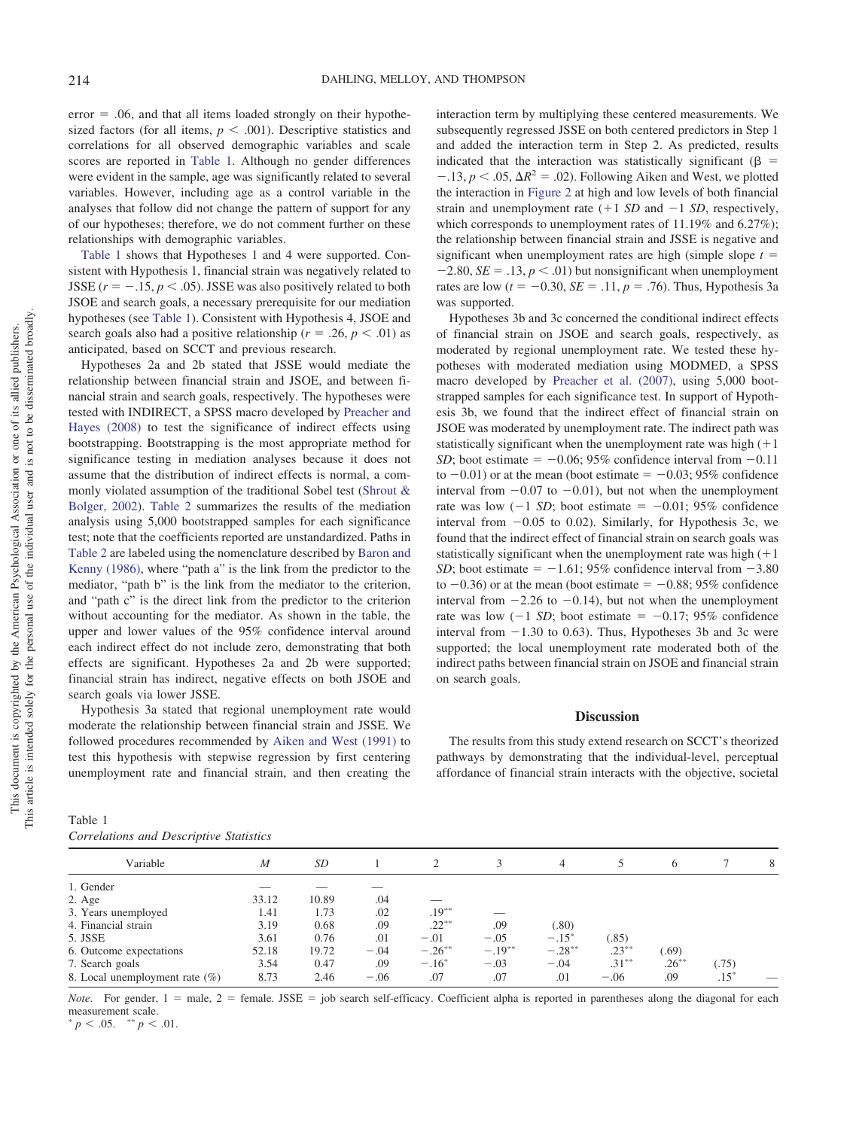$error = .06$ , and that all items loaded strongly on their hypothesized factors (for all items,  $p < .001$ ). Descriptive statistics and correlations for all observed demographic variables and scale scores are reported in [Table 1.](#page-4-0) Although no gender differences were evident in the sample, age was significantly related to several variables. However, including age as a control variable in the analyses that follow did not change the pattern of support for any of our hypotheses; therefore, we do not comment further on these relationships with demographic variables.

[Table 1](#page-4-0) shows that Hypotheses 1 and 4 were supported. Consistent with Hypothesis 1, financial strain was negatively related to JSSE  $(r = -.15, p < .05)$ . JSSE was also positively related to both JSOE and search goals, a necessary prerequisite for our mediation hypotheses (see [Table 1\)](#page-4-0). Consistent with Hypothesis 4, JSOE and search goals also had a positive relationship ( $r = .26$ ,  $p < .01$ ) as anticipated, based on SCCT and previous research.

Hypotheses 2a and 2b stated that JSSE would mediate the relationship between financial strain and JSOE, and between financial strain and search goals, respectively. The hypotheses were tested with INDIRECT, a SPSS macro developed by [Preacher and](#page-7-29) [Hayes \(2008\)](#page-7-29) to test the significance of indirect effects using bootstrapping. Bootstrapping is the most appropriate method for significance testing in mediation analyses because it does not assume that the distribution of indirect effects is normal, a commonly violated assumption of the traditional Sobel test [\(Shrout &](#page-7-30) [Bolger, 2002\)](#page-7-30). [Table 2](#page-5-0) summarizes the results of the mediation analysis using 5,000 bootstrapped samples for each significance test; note that the coefficients reported are unstandardized. Paths in [Table 2](#page-5-0) are labeled using the nomenclature described by [Baron and](#page-6-4) [Kenny \(1986\),](#page-6-4) where "path a" is the link from the predictor to the mediator, "path b" is the link from the mediator to the criterion, and "path c" is the direct link from the predictor to the criterion without accounting for the mediator. As shown in the table, the upper and lower values of the 95% confidence interval around each indirect effect do not include zero, demonstrating that both effects are significant. Hypotheses 2a and 2b were supported; financial strain has indirect, negative effects on both JSOE and search goals via lower JSSE.

Hypothesis 3a stated that regional unemployment rate would moderate the relationship between financial strain and JSSE. We followed procedures recommended by [Aiken and West \(1991\)](#page-6-5) to test this hypothesis with stepwise regression by first centering unemployment rate and financial strain, and then creating the

Hypotheses 3b and 3c concerned the conditional indirect effects of financial strain on JSOE and search goals, respectively, as moderated by regional unemployment rate. We tested these hypotheses with moderated mediation using MODMED, a SPSS macro developed by [Preacher et al. \(2007\),](#page-7-19) using 5,000 bootstrapped samples for each significance test. In support of Hypothesis 3b, we found that the indirect effect of financial strain on JSOE was moderated by unemployment rate. The indirect path was statistically significant when the unemployment rate was high  $(+1)$ *SD*; boot estimate  $= -0.06$ ; 95% confidence interval from  $-0.11$ to  $-0.01$ ) or at the mean (boot estimate  $= -0.03$ ; 95% confidence interval from  $-0.07$  to  $-0.01$ ), but not when the unemployment rate was low  $(-1 SD;$  boot estimate  $= -0.01; 95%$  confidence interval from  $-0.05$  to 0.02). Similarly, for Hypothesis 3c, we found that the indirect effect of financial strain on search goals was statistically significant when the unemployment rate was high  $(+1)$ *SD*; boot estimate  $= -1.61$ ; 95% confidence interval from  $-3.80$ to  $-0.36$ ) or at the mean (boot estimate =  $-0.88$ ; 95% confidence interval from  $-2.26$  to  $-0.14$ ), but not when the unemployment rate was low  $(-1 SD)$ ; boot estimate  $= -0.17$ ; 95% confidence interval from  $-1.30$  to 0.63). Thus, Hypotheses 3b and 3c were supported; the local unemployment rate moderated both of the indirect paths between financial strain on JSOE and financial strain on search goals.

#### **Discussion**

The results from this study extend research on SCCT's theorized pathways by demonstrating that the individual-level, perceptual affordance of financial strain interacts with the objective, societal

| Corretations and Descriptive Statistics |                  |           |        |           |           |                |          |          |        |   |
|-----------------------------------------|------------------|-----------|--------|-----------|-----------|----------------|----------|----------|--------|---|
| Variable                                | $\boldsymbol{M}$ | <i>SD</i> |        |           |           | $\overline{4}$ |          | 6        |        | 8 |
| 1. Gender                               |                  |           |        |           |           |                |          |          |        |   |
| $2. \text{Age}$                         | 33.12            | 10.89     | .04    |           |           |                |          |          |        |   |
| 3. Years unemployed                     | 1.41             | 1.73      | .02    | $.19***$  |           |                |          |          |        |   |
| 4. Financial strain                     | 3.19             | 0.68      | .09    | $.22***$  | .09       | (.80)          |          |          |        |   |
| 5. JSSE                                 | 3.61             | 0.76      | .01    | $-.01$    | $-.05$    | $-.15^*$       | (.85)    |          |        |   |
| 6. Outcome expectations                 | 52.18            | 19.72     | $-.04$ | $-.26***$ | $-.19***$ | $-.28***$      | $.23***$ | (.69)    |        |   |
| 7. Search goals                         | 3.54             | 0.47      | .09    | $-.16*$   | $-.03$    | $-.04$         | $.31***$ | $.26***$ | (.75)  |   |
| 8. Local unemployment rate $(\%)$       | 8.73             | 2.46      | $-.06$ | .07       | .07       | .01            | $-.06$   | .09      | $.15*$ |   |

<span id="page-4-0"></span>Table 1 *Correlations and Descriptive Statistics*

*Note*. For gender,  $1 =$  male,  $2 =$  female. JSSE = job search self-efficacy. Coefficient alpha is reported in parentheses along the diagonal for each measurement scale.

 $p < .05.$  \*\*  $p < .01.$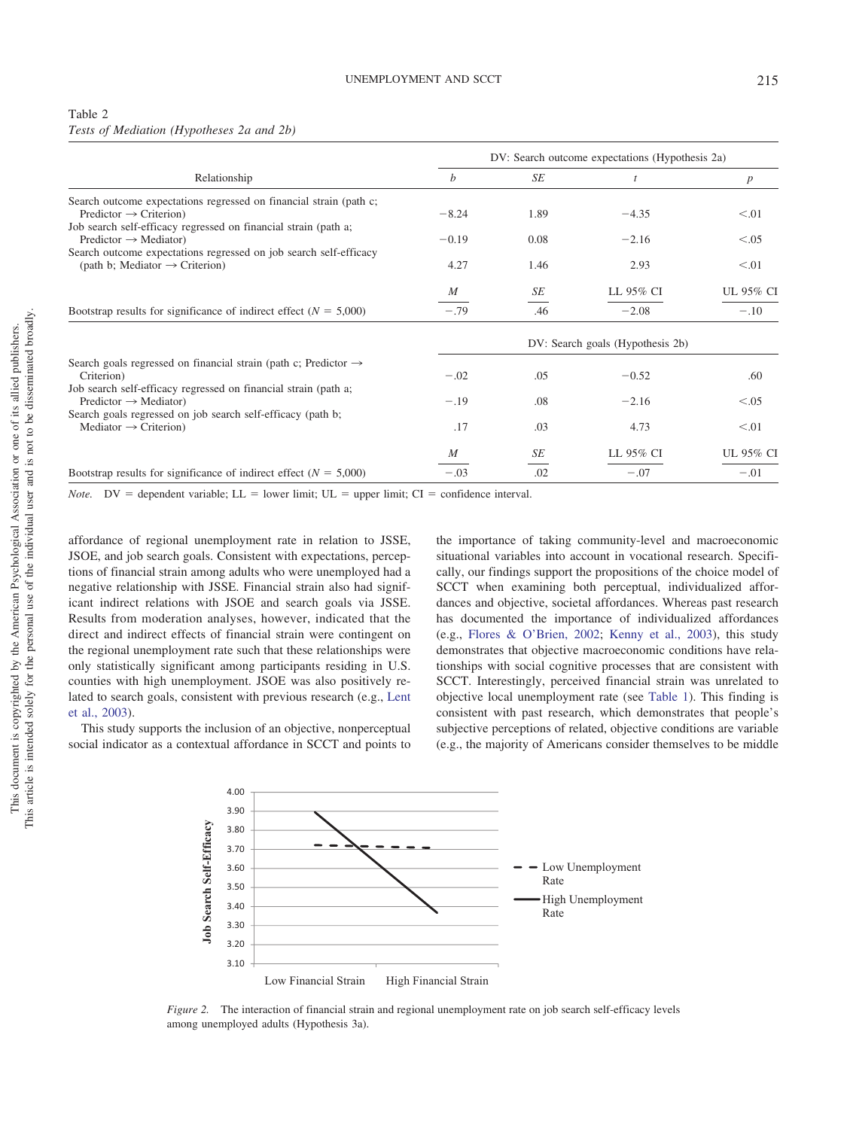<span id="page-5-0"></span>

| Table 2 |                                           |  |  |
|---------|-------------------------------------------|--|--|
|         | Tests of Mediation (Hypotheses 2a and 2b) |  |  |

|                                                                                                                                                                             | DV: Search outcome expectations (Hypothesis 2a) |      |           |                  |  |
|-----------------------------------------------------------------------------------------------------------------------------------------------------------------------------|-------------------------------------------------|------|-----------|------------------|--|
| Relationship                                                                                                                                                                | $\boldsymbol{b}$                                | SE   | t         | $\boldsymbol{p}$ |  |
| Search outcome expectations regressed on financial strain (path c;<br>Predictor $\rightarrow$ Criterion)<br>Job search self-efficacy regressed on financial strain (path a; | $-8.24$                                         | 1.89 | $-4.35$   | < 0.01           |  |
| $Predictor \rightarrow Mediator)$                                                                                                                                           | $-0.19$                                         | 0.08 | $-2.16$   | < 0.05           |  |
| Search outcome expectations regressed on job search self-efficacy<br>(path b; Mediator $\rightarrow$ Criterion)                                                             | 4.27                                            | 1.46 | 2.93      | < 0.01           |  |
|                                                                                                                                                                             | M                                               | SE   | LL 95% CI | UL 95% CI        |  |
| Bootstrap results for significance of indirect effect $(N = 5,000)$                                                                                                         | $-.79$                                          | .46  | $-2.08$   | $-.10$           |  |
|                                                                                                                                                                             | DV: Search goals (Hypothesis 2b)                |      |           |                  |  |
| Search goals regressed on financial strain (path c; Predictor $\rightarrow$<br>Criterion)                                                                                   | $-.02$                                          | .05  | $-0.52$   | .60              |  |
| Job search self-efficacy regressed on financial strain (path a;<br>$Predictor \rightarrow Mediator)$                                                                        | $-.19$                                          | .08  | $-2.16$   | < 0.05           |  |
| Search goals regressed on job search self-efficacy (path b;<br>Mediator $\rightarrow$ Criterion)                                                                            | .17                                             | .03  | 4.73      | < 0.01           |  |
|                                                                                                                                                                             | $\boldsymbol{M}$                                | SE   | LL 95% CI | UL 95% CI        |  |
| Bootstrap results for significance of indirect effect $(N = 5,000)$                                                                                                         | $-.03$                                          | .02  | $-.07$    | $-.01$           |  |

*Note.* DV = dependent variable; LL = lower limit; UL = upper limit; CI = confidence interval.

affordance of regional unemployment rate in relation to JSSE, JSOE, and job search goals. Consistent with expectations, perceptions of financial strain among adults who were unemployed had a negative relationship with JSSE. Financial strain also had significant indirect relations with JSOE and search goals via JSSE. Results from moderation analyses, however, indicated that the direct and indirect effects of financial strain were contingent on the regional unemployment rate such that these relationships were only statistically significant among participants residing in U.S. counties with high unemployment. JSOE was also positively related to search goals, consistent with previous research (e.g., [Lent](#page-7-7) [et al., 2003\)](#page-7-7).

This study supports the inclusion of an objective, nonperceptual social indicator as a contextual affordance in SCCT and points to the importance of taking community-level and macroeconomic situational variables into account in vocational research. Specifically, our findings support the propositions of the choice model of SCCT when examining both perceptual, individualized affordances and objective, societal affordances. Whereas past research has documented the importance of individualized affordances (e.g., [Flores & O'Brien, 2002;](#page-7-4) [Kenny et al., 2003\)](#page-7-5), this study demonstrates that objective macroeconomic conditions have relationships with social cognitive processes that are consistent with SCCT. Interestingly, perceived financial strain was unrelated to objective local unemployment rate (see [Table 1\)](#page-4-0). This finding is consistent with past research, which demonstrates that people's subjective perceptions of related, objective conditions are variable (e.g., the majority of Americans consider themselves to be middle



<span id="page-5-1"></span>*Figure 2.* The interaction of financial strain and regional unemployment rate on job search self-efficacy levels among unemployed adults (Hypothesis 3a).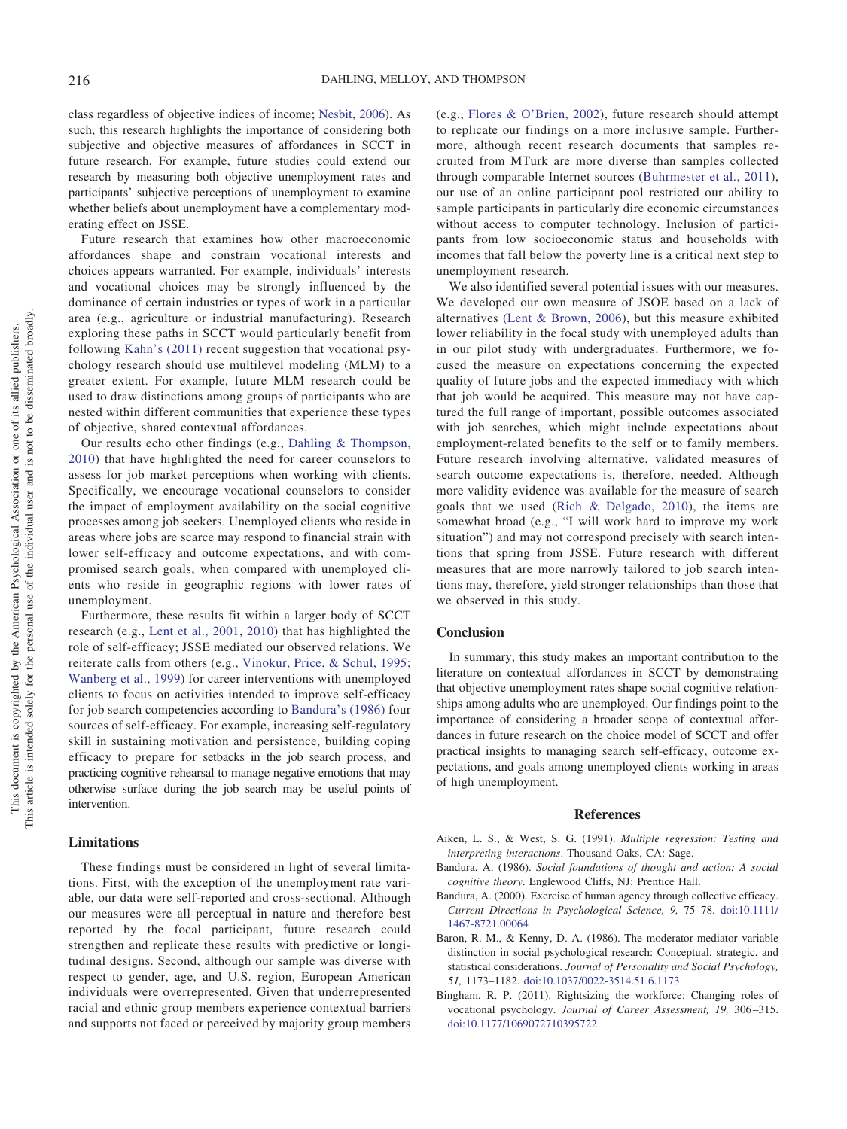<span id="page-6-3"></span>class regardless of objective indices of income; [Nesbit, 2006\)](#page-7-31). As such, this research highlights the importance of considering both subjective and objective measures of affordances in SCCT in future research. For example, future studies could extend our research by measuring both objective unemployment rates and participants' subjective perceptions of unemployment to examine whether beliefs about unemployment have a complementary moderating effect on JSSE.

Future research that examines how other macroeconomic affordances shape and constrain vocational interests and choices appears warranted. For example, individuals' interests and vocational choices may be strongly influenced by the dominance of certain industries or types of work in a particular area (e.g., agriculture or industrial manufacturing). Research exploring these paths in SCCT would particularly benefit from following [Kahn's \(2011\)](#page-7-32) recent suggestion that vocational psychology research should use multilevel modeling (MLM) to a greater extent. For example, future MLM research could be used to draw distinctions among groups of participants who are nested within different communities that experience these types of objective, shared contextual affordances.

Our results echo other findings (e.g., [Dahling & Thompson,](#page-7-33) [2010\)](#page-7-33) that have highlighted the need for career counselors to assess for job market perceptions when working with clients. Specifically, we encourage vocational counselors to consider the impact of employment availability on the social cognitive processes among job seekers. Unemployed clients who reside in areas where jobs are scarce may respond to financial strain with lower self-efficacy and outcome expectations, and with compromised search goals, when compared with unemployed clients who reside in geographic regions with lower rates of unemployment.

Furthermore, these results fit within a larger body of SCCT research (e.g., [Lent et al., 2001,](#page-7-6) [2010\)](#page-7-11) that has highlighted the role of self-efficacy; JSSE mediated our observed relations. We reiterate calls from others (e.g., [Vinokur, Price, & Schul, 1995;](#page-7-34) [Wanberg et al., 1999\)](#page-8-0) for career interventions with unemployed clients to focus on activities intended to improve self-efficacy for job search competencies according to [Bandura's \(1986\)](#page-6-1) four sources of self-efficacy. For example, increasing self-regulatory skill in sustaining motivation and persistence, building coping efficacy to prepare for setbacks in the job search process, and practicing cognitive rehearsal to manage negative emotions that may otherwise surface during the job search may be useful points of intervention.

#### **Limitations**

These findings must be considered in light of several limitations. First, with the exception of the unemployment rate variable, our data were self-reported and cross-sectional. Although our measures were all perceptual in nature and therefore best reported by the focal participant, future research could strengthen and replicate these results with predictive or longitudinal designs. Second, although our sample was diverse with respect to gender, age, and U.S. region, European American individuals were overrepresented. Given that underrepresented racial and ethnic group members experience contextual barriers and supports not faced or perceived by majority group members

(e.g., [Flores & O'Brien, 2002\)](#page-7-4), future research should attempt to replicate our findings on a more inclusive sample. Furthermore, although recent research documents that samples recruited from MTurk are more diverse than samples collected through comparable Internet sources [\(Buhrmester et al., 2011\)](#page-6-3), our use of an online participant pool restricted our ability to sample participants in particularly dire economic circumstances without access to computer technology. Inclusion of participants from low socioeconomic status and households with incomes that fall below the poverty line is a critical next step to unemployment research.

We also identified several potential issues with our measures. We developed our own measure of JSOE based on a lack of alternatives [\(Lent & Brown, 2006\)](#page-7-24), but this measure exhibited lower reliability in the focal study with unemployed adults than in our pilot study with undergraduates. Furthermore, we focused the measure on expectations concerning the expected quality of future jobs and the expected immediacy with which that job would be acquired. This measure may not have captured the full range of important, possible outcomes associated with job searches, which might include expectations about employment-related benefits to the self or to family members. Future research involving alternative, validated measures of search outcome expectations is, therefore, needed. Although more validity evidence was available for the measure of search goals that we used [\(Rich & Delgado, 2010\)](#page-7-12), the items are somewhat broad (e.g., "I will work hard to improve my work situation") and may not correspond precisely with search intentions that spring from JSSE. Future research with different measures that are more narrowly tailored to job search intentions may, therefore, yield stronger relationships than those that we observed in this study.

## **Conclusion**

In summary, this study makes an important contribution to the literature on contextual affordances in SCCT by demonstrating that objective unemployment rates shape social cognitive relationships among adults who are unemployed. Our findings point to the importance of considering a broader scope of contextual affordances in future research on the choice model of SCCT and offer practical insights to managing search self-efficacy, outcome expectations, and goals among unemployed clients working in areas of high unemployment.

#### **References**

- <span id="page-6-5"></span>Aiken, L. S., & West, S. G. (1991). *Multiple regression: Testing and interpreting interactions*. Thousand Oaks, CA: Sage.
- <span id="page-6-1"></span>Bandura, A. (1986). *Social foundations of thought and action: A social cognitive theory*. Englewood Cliffs, NJ: Prentice Hall.
- <span id="page-6-2"></span>Bandura, A. (2000). Exercise of human agency through collective efficacy. *Current Directions in Psychological Science, 9,* 75–78. [doi:10.1111/](http://dx.doi.org/10.1111/1467-8721.00064) [1467-8721.00064](http://dx.doi.org/10.1111/1467-8721.00064)
- <span id="page-6-4"></span>Baron, R. M., & Kenny, D. A. (1986). The moderator-mediator variable distinction in social psychological research: Conceptual, strategic, and statistical considerations. *Journal of Personality and Social Psychology, 51,* 1173–1182. [doi:10.1037/0022-3514.51.6.1173](http://dx.doi.org/10.1037/0022-3514.51.6.1173)
- <span id="page-6-0"></span>Bingham, R. P. (2011). Rightsizing the workforce: Changing roles of vocational psychology. *Journal of Career Assessment, 19,* 306 –315. [doi:10.1177/1069072710395722](http://dx.doi.org/10.1177/1069072710395722)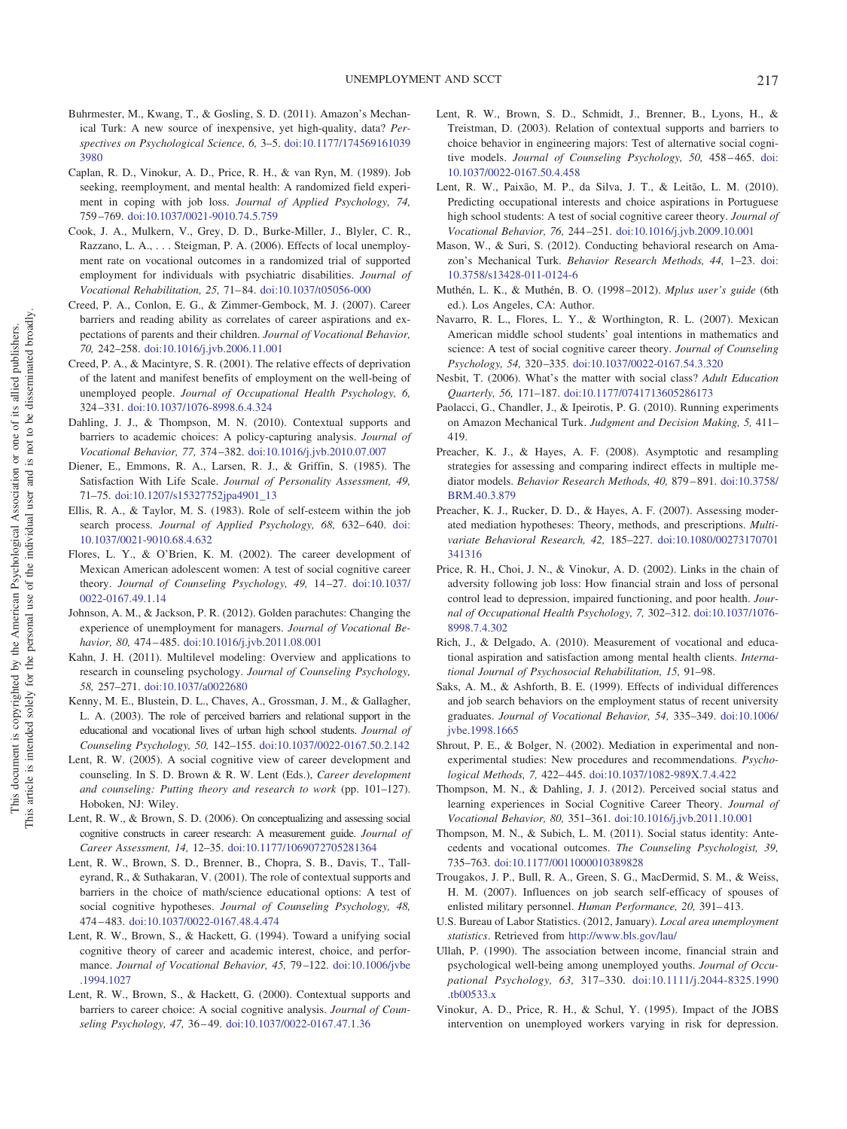- Buhrmester, M., Kwang, T., & Gosling, S. D. (2011). Amazon's Mechanical Turk: A new source of inexpensive, yet high-quality, data? *Perspectives on Psychological Science, 6,* 3–5. [doi:10.1177/174569161039](http://dx.doi.org/10.1177/1745691610393980) [3980](http://dx.doi.org/10.1177/1745691610393980)
- <span id="page-7-23"></span>Caplan, R. D., Vinokur, A. D., Price, R. H., & van Ryn, M. (1989). Job seeking, reemployment, and mental health: A randomized field experiment in coping with job loss. *Journal of Applied Psychology, 74,* 759 –769. [doi:10.1037/0021-9010.74.5.759](http://dx.doi.org/10.1037/0021-9010.74.5.759)
- <span id="page-7-18"></span>Cook, J. A., Mulkern, V., Grey, D. D., Burke-Miller, J., Blyler, C. R., Razzano, L. A., . . . Steigman, P. A. (2006). Effects of local unemployment rate on vocational outcomes in a randomized trial of supported employment for individuals with psychiatric disabilities. *Journal of Vocational Rehabilitation, 25,* 71– 84. [doi:10.1037/t05056-000](http://dx.doi.org/10.1037/t05056-000)
- <span id="page-7-21"></span>Creed, P. A., Conlon, E. G., & Zimmer-Gembock, M. J. (2007). Career barriers and reading ability as correlates of career aspirations and expectations of parents and their children. *Journal of Vocational Behavior, 70,* 242–258. [doi:10.1016/j.jvb.2006.11.001](http://dx.doi.org/10.1016/j.jvb.2006.11.001)
- <span id="page-7-14"></span>Creed, P. A., & Macintyre, S. R. (2001). The relative effects of deprivation of the latent and manifest benefits of employment on the well-being of unemployed people. *Journal of Occupational Health Psychology, 6,* 324 –331. [doi:10.1037/1076-8998.6.4.324](http://dx.doi.org/10.1037/1076-8998.6.4.324)
- <span id="page-7-33"></span>Dahling, J. J., & Thompson, M. N. (2010). Contextual supports and barriers to academic choices: A policy-capturing analysis. *Journal of Vocational Behavior, 77,* 374 –382. [doi:10.1016/j.jvb.2010.07.007](http://dx.doi.org/10.1016/j.jvb.2010.07.007)
- <span id="page-7-22"></span>Diener, E., Emmons, R. A., Larsen, R. J., & Griffin, S. (1985). The Satisfaction With Life Scale. *Journal of Personality Assessment, 49,* 71–75. [doi:10.1207/s15327752jpa4901\\_13](http://dx.doi.org/10.1207/s15327752jpa4901_13)
- <span id="page-7-16"></span>Ellis, R. A., & Taylor, M. S. (1983). Role of self-esteem within the job search process. *Journal of Applied Psychology, 68, 632-640*. [doi:](http://dx.doi.org/10.1037/0021-9010.68.4.632) [10.1037/0021-9010.68.4.632](http://dx.doi.org/10.1037/0021-9010.68.4.632)
- <span id="page-7-4"></span>Flores, L. Y., & O'Brien, K. M. (2002). The career development of Mexican American adolescent women: A test of social cognitive career theory. *Journal of Counseling Psychology, 49,* 14 –27. [doi:10.1037/](http://dx.doi.org/10.1037/0022-0167.49.1.14) [0022-0167.49.1.14](http://dx.doi.org/10.1037/0022-0167.49.1.14)
- <span id="page-7-0"></span>Johnson, A. M., & Jackson, P. R. (2012). Golden parachutes: Changing the experience of unemployment for managers. *Journal of Vocational Behavior, 80,* 474 – 485. [doi:10.1016/j.jvb.2011.08.001](http://dx.doi.org/10.1016/j.jvb.2011.08.001)
- <span id="page-7-32"></span>Kahn, J. H. (2011). Multilevel modeling: Overview and applications to research in counseling psychology. *Journal of Counseling Psychology, 58,* 257–271. [doi:10.1037/a0022680](http://dx.doi.org/10.1037/a0022680)
- <span id="page-7-5"></span>Kenny, M. E., Blustein, D. L., Chaves, A., Grossman, J. M., & Gallagher, L. A. (2003). The role of perceived barriers and relational support in the educational and vocational lives of urban high school students. *Journal of Counseling Psychology, 50,* 142–155. [doi:10.1037/0022-0167.50.2.142](http://dx.doi.org/10.1037/0022-0167.50.2.142)
- <span id="page-7-2"></span>Lent, R. W. (2005). A social cognitive view of career development and counseling. In S. D. Brown & R. W. Lent (Eds.), *Career development and counseling: Putting theory and research to work* (pp. 101–127). Hoboken, NJ: Wiley.
- <span id="page-7-24"></span>Lent, R. W., & Brown, S. D. (2006). On conceptualizing and assessing social cognitive constructs in career research: A measurement guide. *Journal of Career Assessment, 14,* 12–35. [doi:10.1177/1069072705281364](http://dx.doi.org/10.1177/1069072705281364)
- <span id="page-7-6"></span>Lent, R. W., Brown, S. D., Brenner, B., Chopra, S. B., Davis, T., Talleyrand, R., & Suthakaran, V. (2001). The role of contextual supports and barriers in the choice of math/science educational options: A test of social cognitive hypotheses. *Journal of Counseling Psychology, 48,* 474 – 483. [doi:10.1037/0022-0167.48.4.474](http://dx.doi.org/10.1037/0022-0167.48.4.474)
- <span id="page-7-1"></span>Lent, R. W., Brown, S., & Hackett, G. (1994). Toward a unifying social cognitive theory of career and academic interest, choice, and performance. *Journal of Vocational Behavior, 45,* 79 –122. [doi:10.1006/jvbe](http://dx.doi.org/10.1006/jvbe.1994.1027) [.1994.1027](http://dx.doi.org/10.1006/jvbe.1994.1027)
- <span id="page-7-3"></span>Lent, R. W., Brown, S., & Hackett, G. (2000). Contextual supports and barriers to career choice: A social cognitive analysis. *Journal of Counseling Psychology, 47,* 36 – 49. [doi:10.1037/0022-0167.47.1.36](http://dx.doi.org/10.1037/0022-0167.47.1.36)
- <span id="page-7-7"></span>Lent, R. W., Brown, S. D., Schmidt, J., Brenner, B., Lyons, H., & Treistman, D. (2003). Relation of contextual supports and barriers to choice behavior in engineering majors: Test of alternative social cognitive models. *Journal of Counseling Psychology, 50,* 458 – 465. [doi:](http://dx.doi.org/10.1037/0022-0167.50.4.458) [10.1037/0022-0167.50.4.458](http://dx.doi.org/10.1037/0022-0167.50.4.458)
- <span id="page-7-11"></span>Lent, R. W., Paixão, M. P., da Silva, J. T., & Leitão, L. M. (2010). Predicting occupational interests and choice aspirations in Portuguese high school students: A test of social cognitive career theory. *Journal of Vocational Behavior, 76,* 244 –251. [doi:10.1016/j.jvb.2009.10.001](http://dx.doi.org/10.1016/j.jvb.2009.10.001)
- <span id="page-7-26"></span>Mason, W., & Suri, S. (2012). Conducting behavioral research on Amazon's Mechanical Turk. *Behavior Research Methods, 44,* 1–23. [doi:](http://dx.doi.org/10.3758/s13428-011-0124-6) [10.3758/s13428-011-0124-6](http://dx.doi.org/10.3758/s13428-011-0124-6)
- <span id="page-7-28"></span>Muthén, L. K., & Muthén, B. O. (1998 –2012). *Mplus user's guide* (6th ed.). Los Angeles, CA: Author.
- <span id="page-7-8"></span>Navarro, R. L., Flores, L. Y., & Worthington, R. L. (2007). Mexican American middle school students' goal intentions in mathematics and science: A test of social cognitive career theory. *Journal of Counseling Psychology, 54,* 320 –335. [doi:10.1037/0022-0167.54.3.320](http://dx.doi.org/10.1037/0022-0167.54.3.320)
- <span id="page-7-31"></span>Nesbit, T. (2006). What's the matter with social class? *Adult Education Quarterly, 56,* 171–187. [doi:10.1177/0741713605286173](http://dx.doi.org/10.1177/0741713605286173)
- <span id="page-7-27"></span>Paolacci, G., Chandler, J., & Ipeirotis, P. G. (2010). Running experiments on Amazon Mechanical Turk. *Judgment and Decision Making, 5,* 411– 419.
- <span id="page-7-29"></span>Preacher, K. J., & Hayes, A. F. (2008). Asymptotic and resampling strategies for assessing and comparing indirect effects in multiple mediator models. *Behavior Research Methods, 40,* 879 – 891. [doi:10.3758/](http://dx.doi.org/10.3758/BRM.40.3.879) [BRM.40.3.879](http://dx.doi.org/10.3758/BRM.40.3.879)
- <span id="page-7-19"></span>Preacher, K. J., Rucker, D. D., & Hayes, A. F. (2007). Assessing moderated mediation hypotheses: Theory, methods, and prescriptions. *Multivariate Behavioral Research, 42,* 185–227. [doi:10.1080/00273170701](http://dx.doi.org/10.1080/00273170701341316) [341316](http://dx.doi.org/10.1080/00273170701341316)
- <span id="page-7-15"></span>Price, R. H., Choi, J. N., & Vinokur, A. D. (2002). Links in the chain of adversity following job loss: How financial strain and loss of personal control lead to depression, impaired functioning, and poor health. *Journal of Occupational Health Psychology, 7,* 302–312. [doi:10.1037/1076-](http://dx.doi.org/10.1037/1076-8998.7.4.302) [8998.7.4.302](http://dx.doi.org/10.1037/1076-8998.7.4.302)
- <span id="page-7-12"></span>Rich, J., & Delgado, A. (2010). Measurement of vocational and educational aspiration and satisfaction among mental health clients. *International Journal of Psychosocial Rehabilitation, 15,* 91–98.
- <span id="page-7-13"></span>Saks, A. M., & Ashforth, B. E. (1999). Effects of individual differences and job search behaviors on the employment status of recent university graduates. *Journal of Vocational Behavior, 54,* 335–349. [doi:10.1006/](http://dx.doi.org/10.1006/jvbe.1998.1665) [jvbe.1998.1665](http://dx.doi.org/10.1006/jvbe.1998.1665)
- <span id="page-7-30"></span>Shrout, P. E., & Bolger, N. (2002). Mediation in experimental and nonexperimental studies: New procedures and recommendations. *Psychological Methods, 7,* 422– 445. [doi:10.1037/1082-989X.7.4.422](http://dx.doi.org/10.1037/1082-989X.7.4.422)
- <span id="page-7-9"></span>Thompson, M. N., & Dahling, J. J. (2012). Perceived social status and learning experiences in Social Cognitive Career Theory. *Journal of Vocational Behavior, 80,* 351–361. [doi:10.1016/j.jvb.2011.10.001](http://dx.doi.org/10.1016/j.jvb.2011.10.001)
- <span id="page-7-10"></span>Thompson, M. N., & Subich, L. M. (2011). Social status identity: Antecedents and vocational outcomes. *The Counseling Psychologist, 39,* 735–763. [doi:10.1177/0011000010389828](http://dx.doi.org/10.1177/0011000010389828)
- <span id="page-7-17"></span>Trougakos, J. P., Bull, R. A., Green, S. G., MacDermid, S. M., & Weiss, H. M. (2007). Influences on job search self-efficacy of spouses of enlisted military personnel. *Human Performance*, 20, 391-413.
- <span id="page-7-25"></span>U.S. Bureau of Labor Statistics. (2012, January). *Local area unemployment statistics*. Retrieved from <http://www.bls.gov/lau/>
- <span id="page-7-20"></span>Ullah, P. (1990). The association between income, financial strain and psychological well-being among unemployed youths. *Journal of Occupational Psychology, 63,* 317–330. [doi:10.1111/j.2044-8325.1990](http://dx.doi.org/10.1111/j.2044-8325.1990.tb00533.x) [.tb00533.x](http://dx.doi.org/10.1111/j.2044-8325.1990.tb00533.x)
- <span id="page-7-34"></span>Vinokur, A. D., Price, R. H., & Schul, Y. (1995). Impact of the JOBS intervention on unemployed workers varying in risk for depression.